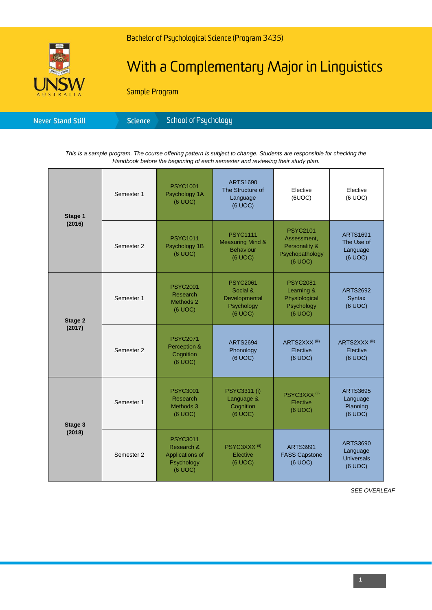

# With a Complementary Major in Linguistics

Sample Program

| School of Psychology <b>\</b> |
|-------------------------------|
|-------------------------------|

*This is a sample program. The course offering pattern is subject to change. Students are responsible for checking the Handbook before the beginning of each semester and reviewing their study plan.*

| Stage 1<br>(2016) | Semester 1 | <b>PSYC1001</b><br>Psychology 1A<br>(6 UOC)                               | ARTS1690<br>The Structure of<br>Language<br>(6 UOC)                           | Elective<br>(6UOC)                                                            | Elective<br>(6 UOC)                                         |
|-------------------|------------|---------------------------------------------------------------------------|-------------------------------------------------------------------------------|-------------------------------------------------------------------------------|-------------------------------------------------------------|
|                   | Semester 2 | <b>PSYC1011</b><br>Psychology 1B<br>(6 UOC)                               | <b>PSYC1111</b><br><b>Measuring Mind &amp;</b><br><b>Behaviour</b><br>(6 UOC) | <b>PSYC2101</b><br>Assessment.<br>Personality &<br>Psychopathology<br>(6 UOC) | <b>ARTS1691</b><br>The Use of<br>Language<br>(6 UOC)        |
| Stage 2<br>(2017) | Semester 1 | <b>PSYC2001</b><br>Research<br>Methods 2<br>(6 UOC)                       | <b>PSYC2061</b><br>Social &<br>Developmental<br>Psychology<br>(6 UOC)         | <b>PSYC2081</b><br>Learning &<br>Physiological<br>Psychology<br>(6 UOC)       | <b>ARTS2692</b><br><b>Syntax</b><br>(6 UOC)                 |
|                   | Semester 2 | <b>PSYC2071</b><br>Perception &<br>Cognition<br>(6 UOC)                   | <b>ARTS2694</b><br>Phonology<br>(6 UOC)                                       | ARTS2XXX <sup>(iii)</sup><br>Elective<br>(6 UOC)                              | ARTS2XXX <sup>(iii)</sup><br>Elective<br>(6 UOC)            |
| Stage 3<br>(2018) | Semester 1 | <b>PSYC3001</b><br>Research<br>Methods 3<br>(6 UOC)                       | <b>PSYC3311 (i)</b><br>Language &<br>Cognition<br>(6 UOC)                     | PSYC3XXX <sup>(ii)</sup><br>Elective<br>(6 UOC)                               | <b>ARTS3695</b><br>Language<br>Planning<br>(6 UOC)          |
|                   | Semester 2 | <b>PSYC3011</b><br>Research &<br>Applications of<br>Psychology<br>(6 UOC) | PSYC3XXX <sup>(ii)</sup><br>Elective<br>(6 UOC)                               | <b>ARTS3991</b><br><b>FASS Capstone</b><br>(6 UOC)                            | <b>ARTS3690</b><br>Language<br><b>Universals</b><br>(6 UOC) |

*SEE OVERLEAF*